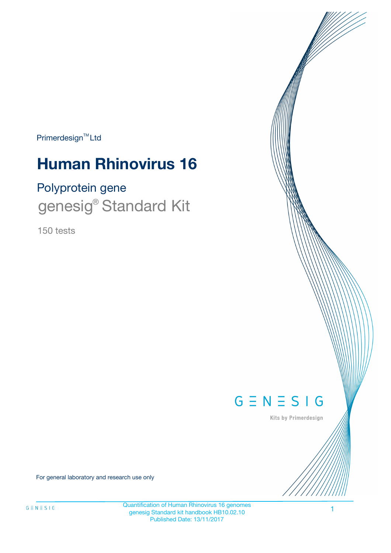Primerdesign<sup>™</sup>Ltd

# **Human Rhinovirus 16**

# Polyprotein gene genesig<sup>®</sup> Standard Kit

150 tests



Kits by Primerdesign

For general laboratory and research use only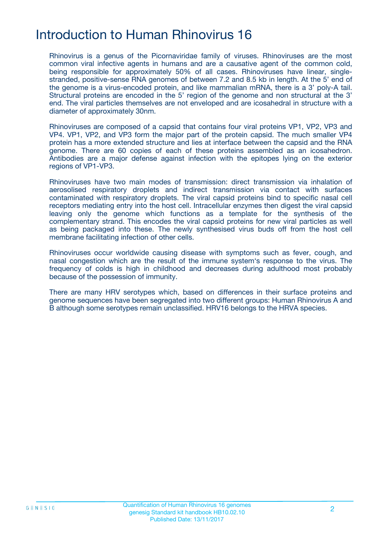# Introduction to Human Rhinovirus 16

Rhinovirus is a genus of the Picornaviridae family of viruses. Rhinoviruses are the most common viral infective agents in humans and are a causative agent of the common cold, being responsible for approximately 50% of all cases. Rhinoviruses have linear, singlestranded, positive-sense RNA genomes of between 7.2 and 8.5 kb in length. At the 5' end of the genome is a virus-encoded protein, and like mammalian mRNA, there is a 3' poly-A tail. Structural proteins are encoded in the 5' region of the genome and non structural at the 3' end. The viral particles themselves are not enveloped and are icosahedral in structure with a diameter of approximately 30nm.

Rhinoviruses are composed of a capsid that contains four viral proteins VP1, VP2, VP3 and VP4. VP1, VP2, and VP3 form the major part of the protein capsid. The much smaller VP4 protein has a more extended structure and lies at interface between the capsid and the RNA genome. There are 60 copies of each of these proteins assembled as an icosahedron. Antibodies are a major defense against infection with the epitopes lying on the exterior regions of VP1-VP3.

Rhinoviruses have two main modes of transmission: direct transmission via inhalation of aerosolised respiratory droplets and indirect transmission via contact with surfaces contaminated with respiratory droplets. The viral capsid proteins bind to specific nasal cell receptors mediating entry into the host cell. Intracellular enzymes then digest the viral capsid leaving only the genome which functions as a template for the synthesis of the complementary strand. This encodes the viral capsid proteins for new viral particles as well as being packaged into these. The newly synthesised virus buds off from the host cell membrane facilitating infection of other cells.

Rhinoviruses occur worldwide causing disease with symptoms such as fever, cough, and nasal congestion which are the result of the immune system's response to the virus. The frequency of colds is high in childhood and decreases during adulthood most probably because of the possession of immunity.

There are many HRV serotypes which, based on differences in their surface proteins and genome sequences have been segregated into two different groups: Human Rhinovirus A and B although some serotypes remain unclassified. HRV16 belongs to the HRVA species.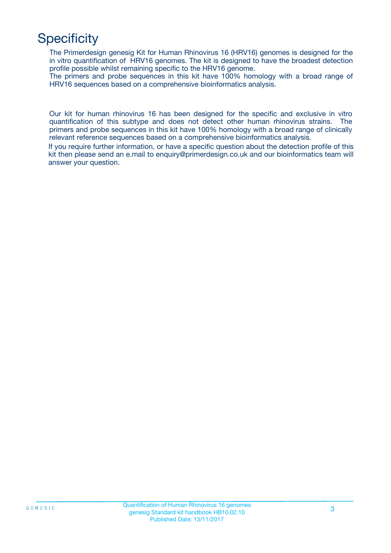# **Specificity**

The Primerdesign genesig Kit for Human Rhinovirus 16 (HRV16) genomes is designed for the in vitro quantification of HRV16 genomes. The kit is designed to have the broadest detection profile possible whilst remaining specific to the HRV16 genome.

The primers and probe sequences in this kit have 100% homology with a broad range of HRV16 sequences based on a comprehensive bioinformatics analysis.

Our kit for human rhinovirus 16 has been designed for the specific and exclusive in vitro quantification of this subtype and does not detect other human rhinovirus strains. The primers and probe sequences in this kit have 100% homology with a broad range of clinically relevant reference sequences based on a comprehensive bioinformatics analysis.

If you require further information, or have a specific question about the detection profile of this kit then please send an e.mail to enquiry@primerdesign.co.uk and our bioinformatics team will answer your question.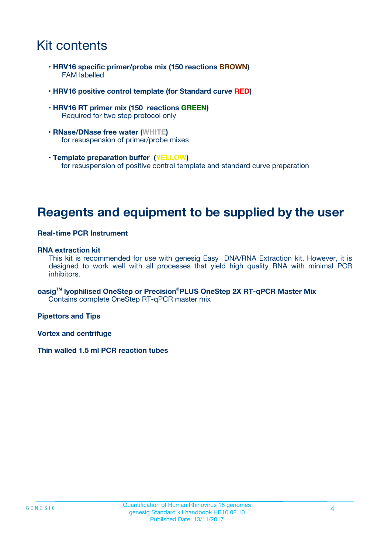# Kit contents

- **HRV16 specific primer/probe mix (150 reactions BROWN)** FAM labelled
- **HRV16 positive control template (for Standard curve RED)**
- **HRV16 RT primer mix (150 reactions GREEN)** Required for two step protocol only
- **RNase/DNase free water (WHITE)** for resuspension of primer/probe mixes
- **Template preparation buffer (YELLOW)** for resuspension of positive control template and standard curve preparation

### **Reagents and equipment to be supplied by the user**

#### **Real-time PCR Instrument**

#### **RNA extraction kit**

This kit is recommended for use with genesig Easy DNA/RNA Extraction kit. However, it is designed to work well with all processes that yield high quality RNA with minimal PCR inhibitors.

**oasigTM lyophilised OneStep or Precision**®**PLUS OneStep 2X RT-qPCR Master Mix** Contains complete OneStep RT-qPCR master mix

**Pipettors and Tips**

**Vortex and centrifuge**

**Thin walled 1.5 ml PCR reaction tubes**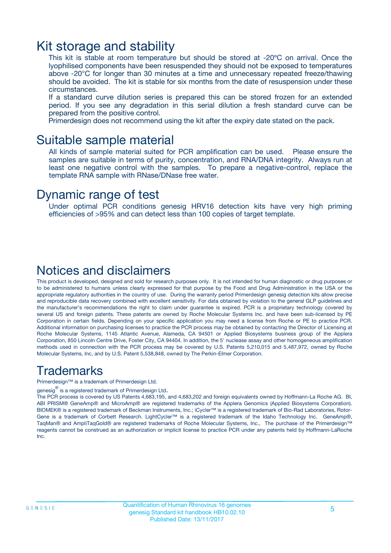### Kit storage and stability

This kit is stable at room temperature but should be stored at -20ºC on arrival. Once the lyophilised components have been resuspended they should not be exposed to temperatures above -20°C for longer than 30 minutes at a time and unnecessary repeated freeze/thawing should be avoided. The kit is stable for six months from the date of resuspension under these circumstances.

If a standard curve dilution series is prepared this can be stored frozen for an extended period. If you see any degradation in this serial dilution a fresh standard curve can be prepared from the positive control.

Primerdesign does not recommend using the kit after the expiry date stated on the pack.

### Suitable sample material

All kinds of sample material suited for PCR amplification can be used. Please ensure the samples are suitable in terms of purity, concentration, and RNA/DNA integrity. Always run at least one negative control with the samples. To prepare a negative-control, replace the template RNA sample with RNase/DNase free water.

### Dynamic range of test

Under optimal PCR conditions genesig HRV16 detection kits have very high priming efficiencies of >95% and can detect less than 100 copies of target template.

### Notices and disclaimers

This product is developed, designed and sold for research purposes only. It is not intended for human diagnostic or drug purposes or to be administered to humans unless clearly expressed for that purpose by the Food and Drug Administration in the USA or the appropriate regulatory authorities in the country of use. During the warranty period Primerdesign genesig detection kits allow precise and reproducible data recovery combined with excellent sensitivity. For data obtained by violation to the general GLP guidelines and the manufacturer's recommendations the right to claim under guarantee is expired. PCR is a proprietary technology covered by several US and foreign patents. These patents are owned by Roche Molecular Systems Inc. and have been sub-licensed by PE Corporation in certain fields. Depending on your specific application you may need a license from Roche or PE to practice PCR. Additional information on purchasing licenses to practice the PCR process may be obtained by contacting the Director of Licensing at Roche Molecular Systems, 1145 Atlantic Avenue, Alameda, CA 94501 or Applied Biosystems business group of the Applera Corporation, 850 Lincoln Centre Drive, Foster City, CA 94404. In addition, the 5' nuclease assay and other homogeneous amplification methods used in connection with the PCR process may be covered by U.S. Patents 5,210,015 and 5,487,972, owned by Roche Molecular Systems, Inc, and by U.S. Patent 5,538,848, owned by The Perkin-Elmer Corporation.

### Trademarks

Primerdesign™ is a trademark of Primerdesign Ltd.

genesig $^\circledR$  is a registered trademark of Primerdesign Ltd.

The PCR process is covered by US Patents 4,683,195, and 4,683,202 and foreign equivalents owned by Hoffmann-La Roche AG. BI, ABI PRISM® GeneAmp® and MicroAmp® are registered trademarks of the Applera Genomics (Applied Biosystems Corporation). BIOMEK® is a registered trademark of Beckman Instruments, Inc.; iCycler™ is a registered trademark of Bio-Rad Laboratories, Rotor-Gene is a trademark of Corbett Research. LightCycler™ is a registered trademark of the Idaho Technology Inc. GeneAmp®, TaqMan® and AmpliTaqGold® are registered trademarks of Roche Molecular Systems, Inc., The purchase of the Primerdesign™ reagents cannot be construed as an authorization or implicit license to practice PCR under any patents held by Hoffmann-LaRoche Inc.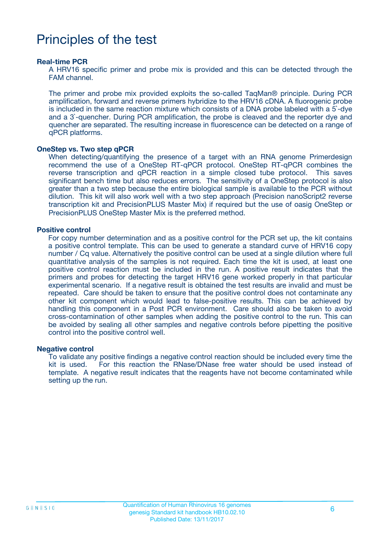# Principles of the test

#### **Real-time PCR**

A HRV16 specific primer and probe mix is provided and this can be detected through the FAM channel.

The primer and probe mix provided exploits the so-called TaqMan® principle. During PCR amplification, forward and reverse primers hybridize to the HRV16 cDNA. A fluorogenic probe is included in the same reaction mixture which consists of a DNA probe labeled with a 5`-dye and a 3`-quencher. During PCR amplification, the probe is cleaved and the reporter dye and quencher are separated. The resulting increase in fluorescence can be detected on a range of qPCR platforms.

#### **OneStep vs. Two step qPCR**

When detecting/quantifying the presence of a target with an RNA genome Primerdesign recommend the use of a OneStep RT-qPCR protocol. OneStep RT-qPCR combines the reverse transcription and qPCR reaction in a simple closed tube protocol. This saves significant bench time but also reduces errors. The sensitivity of a OneStep protocol is also greater than a two step because the entire biological sample is available to the PCR without dilution. This kit will also work well with a two step approach (Precision nanoScript2 reverse transcription kit and PrecisionPLUS Master Mix) if required but the use of oasig OneStep or PrecisionPLUS OneStep Master Mix is the preferred method.

#### **Positive control**

For copy number determination and as a positive control for the PCR set up, the kit contains a positive control template. This can be used to generate a standard curve of HRV16 copy number / Cq value. Alternatively the positive control can be used at a single dilution where full quantitative analysis of the samples is not required. Each time the kit is used, at least one positive control reaction must be included in the run. A positive result indicates that the primers and probes for detecting the target HRV16 gene worked properly in that particular experimental scenario. If a negative result is obtained the test results are invalid and must be repeated. Care should be taken to ensure that the positive control does not contaminate any other kit component which would lead to false-positive results. This can be achieved by handling this component in a Post PCR environment. Care should also be taken to avoid cross-contamination of other samples when adding the positive control to the run. This can be avoided by sealing all other samples and negative controls before pipetting the positive control into the positive control well.

#### **Negative control**

To validate any positive findings a negative control reaction should be included every time the kit is used. For this reaction the RNase/DNase free water should be used instead of template. A negative result indicates that the reagents have not become contaminated while setting up the run.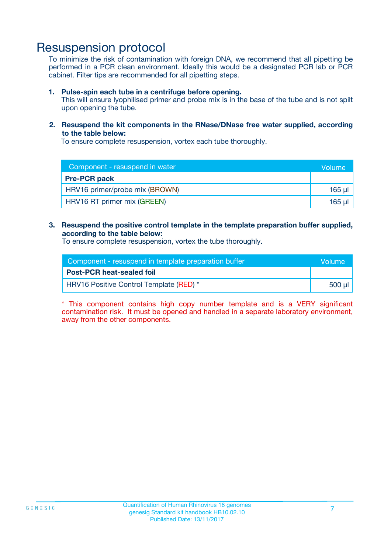### Resuspension protocol

To minimize the risk of contamination with foreign DNA, we recommend that all pipetting be performed in a PCR clean environment. Ideally this would be a designated PCR lab or PCR cabinet. Filter tips are recommended for all pipetting steps.

#### **1. Pulse-spin each tube in a centrifuge before opening.**

This will ensure lyophilised primer and probe mix is in the base of the tube and is not spilt upon opening the tube.

#### **2. Resuspend the kit components in the RNase/DNase free water supplied, according to the table below:**

To ensure complete resuspension, vortex each tube thoroughly.

| Component - resuspend in water | Volume  |
|--------------------------------|---------|
| <b>Pre-PCR pack</b>            |         |
| HRV16 primer/probe mix (BROWN) | $165$ µ |
| HRV16 RT primer mix (GREEN)    | 165 µl  |

#### **3. Resuspend the positive control template in the template preparation buffer supplied, according to the table below:**

To ensure complete resuspension, vortex the tube thoroughly.

| Component - resuspend in template preparation buffer |        |  |
|------------------------------------------------------|--------|--|
| <b>Post-PCR heat-sealed foil</b>                     |        |  |
| HRV16 Positive Control Template (RED) *              | 500 µl |  |

\* This component contains high copy number template and is a VERY significant contamination risk. It must be opened and handled in a separate laboratory environment, away from the other components.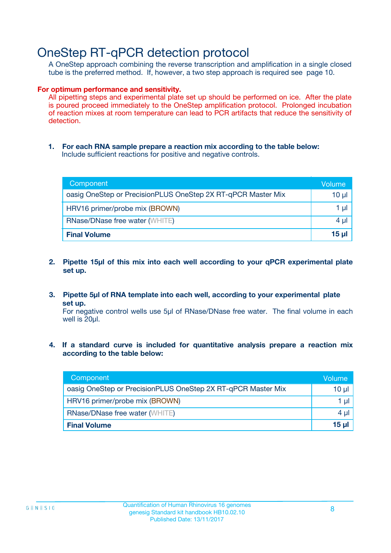# OneStep RT-qPCR detection protocol

A OneStep approach combining the reverse transcription and amplification in a single closed tube is the preferred method. If, however, a two step approach is required see page 10.

#### **For optimum performance and sensitivity.**

All pipetting steps and experimental plate set up should be performed on ice. After the plate is poured proceed immediately to the OneStep amplification protocol. Prolonged incubation of reaction mixes at room temperature can lead to PCR artifacts that reduce the sensitivity of detection.

**1. For each RNA sample prepare a reaction mix according to the table below:** Include sufficient reactions for positive and negative controls.

| Component                                                    | Volume     |  |
|--------------------------------------------------------------|------------|--|
| oasig OneStep or PrecisionPLUS OneStep 2X RT-qPCR Master Mix | $10 \mu$   |  |
| HRV16 primer/probe mix (BROWN)                               | 1 µl       |  |
| <b>RNase/DNase free water (WHITE)</b>                        |            |  |
| <b>Final Volume</b>                                          | $15$ $\mu$ |  |

- **2. Pipette 15µl of this mix into each well according to your qPCR experimental plate set up.**
- **3. Pipette 5µl of RNA template into each well, according to your experimental plate set up.**

For negative control wells use 5µl of RNase/DNase free water. The final volume in each well is 20ul.

**4. If a standard curve is included for quantitative analysis prepare a reaction mix according to the table below:**

| Component                                                    | Volume |  |  |
|--------------------------------------------------------------|--------|--|--|
| oasig OneStep or PrecisionPLUS OneStep 2X RT-qPCR Master Mix | 10 µl  |  |  |
| HRV16 primer/probe mix (BROWN)                               |        |  |  |
| <b>RNase/DNase free water (WHITE)</b>                        |        |  |  |
| <b>Final Volume</b>                                          | 15 ul  |  |  |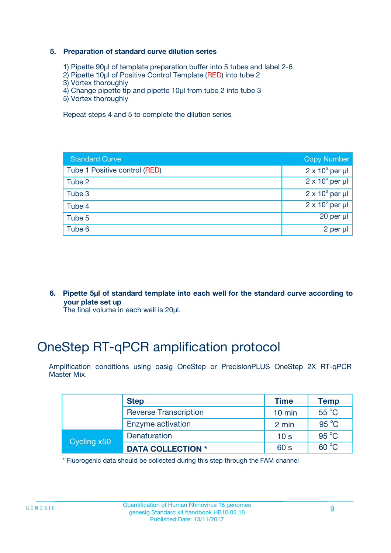#### **5. Preparation of standard curve dilution series**

- 1) Pipette 90µl of template preparation buffer into 5 tubes and label 2-6
- 2) Pipette 10µl of Positive Control Template (RED) into tube 2
- 3) Vortex thoroughly
- 4) Change pipette tip and pipette 10µl from tube 2 into tube 3
- 5) Vortex thoroughly

Repeat steps 4 and 5 to complete the dilution series

| <b>Standard Curve</b>         | <b>Copy Number</b>     |
|-------------------------------|------------------------|
| Tube 1 Positive control (RED) | $2 \times 10^5$ per µl |
| Tube 2                        | $2 \times 10^4$ per µl |
| Tube 3                        | $2 \times 10^3$ per µl |
| Tube 4                        | $2 \times 10^2$ per µl |
| Tube 5                        | 20 per µl              |
| Tube 6                        | $2$ per $\mu$          |

**6. Pipette 5µl of standard template into each well for the standard curve according to your plate set up**

The final volume in each well is 20ul.

# OneStep RT-qPCR amplification protocol

Amplification conditions using oasig OneStep or PrecisionPLUS OneStep 2X RT-qPCR Master Mix.

|             | <b>Step</b>                  | <b>Time</b>      | <b>Temp</b>    |
|-------------|------------------------------|------------------|----------------|
|             | <b>Reverse Transcription</b> | $10 \text{ min}$ | 55 °C          |
|             | Enzyme activation            | 2 min            | $95^{\circ}$ C |
| Cycling x50 | Denaturation                 | 10 <sub>s</sub>  | $95^{\circ}$ C |
|             | <b>DATA COLLECTION *</b>     | 60 s             | $60^{\circ}$ C |

\* Fluorogenic data should be collected during this step through the FAM channel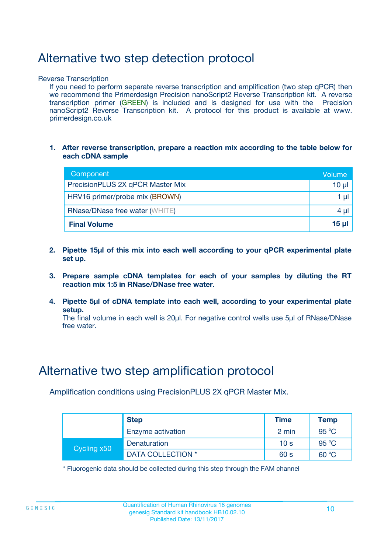# Alternative two step detection protocol

Reverse Transcription

If you need to perform separate reverse transcription and amplification (two step qPCR) then we recommend the Primerdesign Precision nanoScript2 Reverse Transcription kit. A reverse transcription primer (GREEN) is included and is designed for use with the Precision nanoScript2 Reverse Transcription kit. A protocol for this product is available at www. primerdesign.co.uk

**1. After reverse transcription, prepare a reaction mix according to the table below for each cDNA sample**

| Component                             | Volume   |
|---------------------------------------|----------|
| PrecisionPLUS 2X qPCR Master Mix      | $10 \mu$ |
| HRV16 primer/probe mix (BROWN)        |          |
| <b>RNase/DNase free water (WHITE)</b> | 4 µl     |
| <b>Final Volume</b>                   | 15 ul    |

- **2. Pipette 15µl of this mix into each well according to your qPCR experimental plate set up.**
- **3. Prepare sample cDNA templates for each of your samples by diluting the RT reaction mix 1:5 in RNase/DNase free water.**
- **4. Pipette 5µl of cDNA template into each well, according to your experimental plate setup.**

The final volume in each well is 20µl. For negative control wells use 5µl of RNase/DNase free water.

### Alternative two step amplification protocol

Amplification conditions using PrecisionPLUS 2X qPCR Master Mix.

| <b>Step</b> |                     | <b>Time</b>     | Temp           |
|-------------|---------------------|-----------------|----------------|
|             | Enzyme activation   | 2 min           | 95 °C          |
| Cycling x50 | <b>Denaturation</b> | 10 <sub>s</sub> | 95 $\degree$ C |
|             | DATA COLLECTION *   | 60 s            | 60 °C          |

\* Fluorogenic data should be collected during this step through the FAM channel